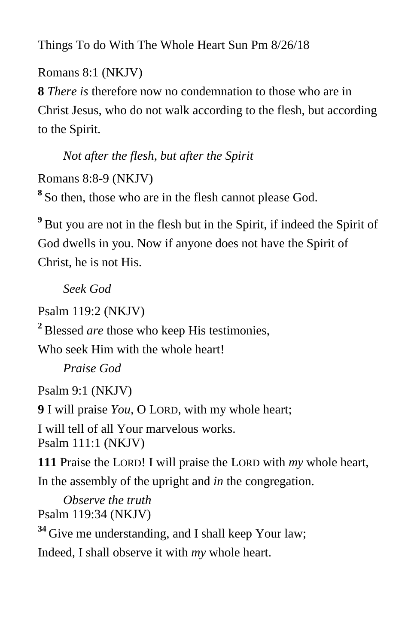Things To do With The Whole Heart Sun Pm 8/26/18

Romans 8:1 (NKJV)

**8** *There is* therefore now no condemnation to those who are in Christ Jesus, who do not walk according to the flesh, but according to the Spirit.

 *Not after the flesh, but after the Spirit* Romans 8:8-9 (NKJV) **8** So then, those who are in the flesh cannot please God.

<sup>9</sup> But you are not in the flesh but in the Spirit, if indeed the Spirit of God dwells in you. Now if anyone does not have the Spirit of Christ, he is not His.

*Seek God*

Psalm 119:2 (NKJV) **<sup>2</sup>** Blessed *are* those who keep His testimonies, Who seek Him with the whole heart! *Praise God* Psalm 9:1 (NKJV)

**9** I will praise *You,* O LORD, with my whole heart; I will tell of all Your marvelous works. Psalm 111:1 (NKJV)

**111** Praise the LORD! I will praise the LORD with *my* whole heart, In the assembly of the upright and *in* the congregation.

 *Observe the truth* Psalm 119:34 (NKJV) <sup>34</sup> Give me understanding, and I shall keep Your law; Indeed, I shall observe it with *my* whole heart.